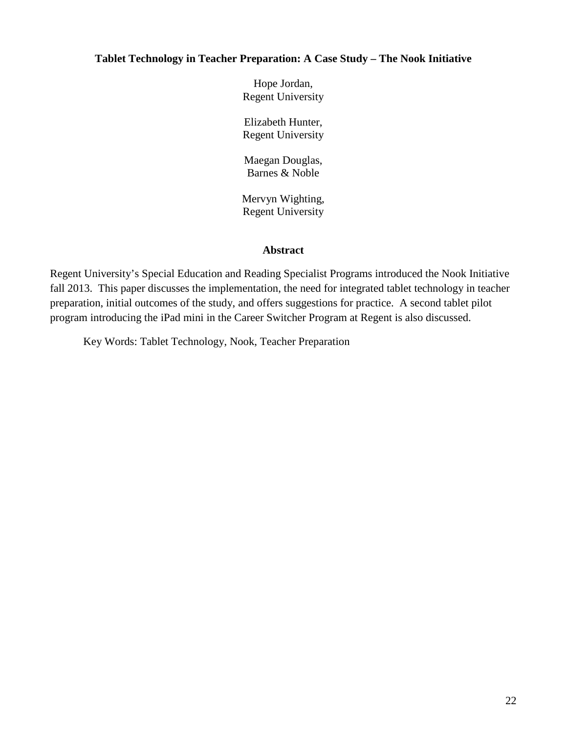## **Tablet Technology in Teacher Preparation: A Case Study – The Nook Initiative**

Hope Jordan, Regent University

Elizabeth Hunter, Regent University

Maegan Douglas, Barnes & Noble

Mervyn Wighting, Regent University

# **Abstract**

Regent University's Special Education and Reading Specialist Programs introduced the Nook Initiative fall 2013. This paper discusses the implementation, the need for integrated tablet technology in teacher preparation, initial outcomes of the study, and offers suggestions for practice. A second tablet pilot program introducing the iPad mini in the Career Switcher Program at Regent is also discussed.

Key Words: Tablet Technology, Nook, Teacher Preparation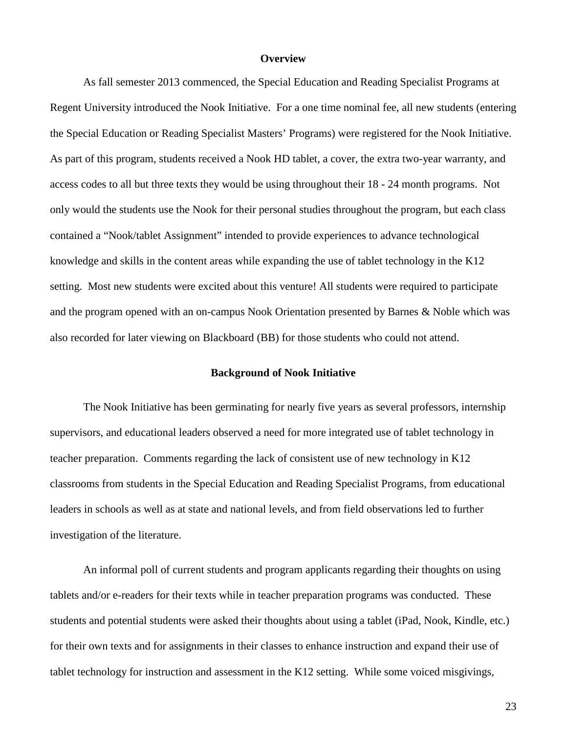#### **Overview**

As fall semester 2013 commenced, the Special Education and Reading Specialist Programs at Regent University introduced the Nook Initiative. For a one time nominal fee, all new students (entering the Special Education or Reading Specialist Masters' Programs) were registered for the Nook Initiative. As part of this program, students received a Nook HD tablet, a cover, the extra two-year warranty, and access codes to all but three texts they would be using throughout their 18 - 24 month programs. Not only would the students use the Nook for their personal studies throughout the program, but each class contained a "Nook/tablet Assignment" intended to provide experiences to advance technological knowledge and skills in the content areas while expanding the use of tablet technology in the K12 setting. Most new students were excited about this venture! All students were required to participate and the program opened with an on-campus Nook Orientation presented by Barnes & Noble which was also recorded for later viewing on Blackboard (BB) for those students who could not attend.

#### **Background of Nook Initiative**

The Nook Initiative has been germinating for nearly five years as several professors, internship supervisors, and educational leaders observed a need for more integrated use of tablet technology in teacher preparation. Comments regarding the lack of consistent use of new technology in K12 classrooms from students in the Special Education and Reading Specialist Programs, from educational leaders in schools as well as at state and national levels, and from field observations led to further investigation of the literature.

An informal poll of current students and program applicants regarding their thoughts on using tablets and/or e-readers for their texts while in teacher preparation programs was conducted. These students and potential students were asked their thoughts about using a tablet (iPad, Nook, Kindle, etc.) for their own texts and for assignments in their classes to enhance instruction and expand their use of tablet technology for instruction and assessment in the K12 setting. While some voiced misgivings,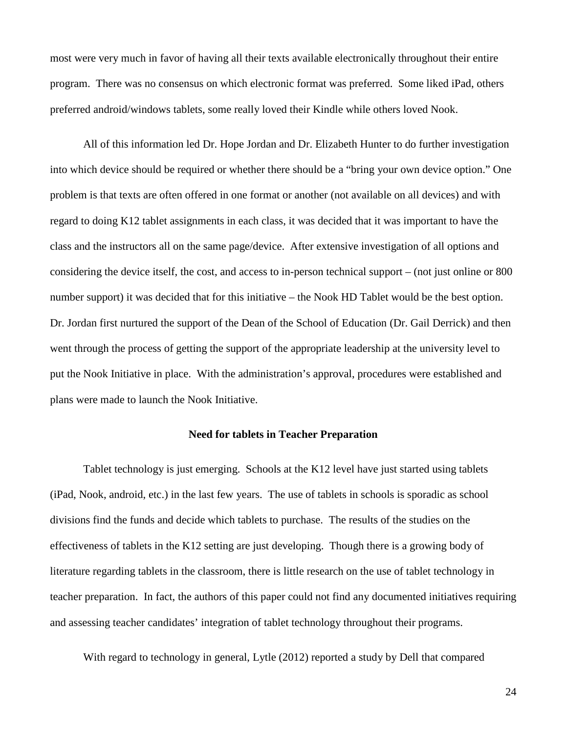most were very much in favor of having all their texts available electronically throughout their entire program. There was no consensus on which electronic format was preferred. Some liked iPad, others preferred android/windows tablets, some really loved their Kindle while others loved Nook.

All of this information led Dr. Hope Jordan and Dr. Elizabeth Hunter to do further investigation into which device should be required or whether there should be a "bring your own device option." One problem is that texts are often offered in one format or another (not available on all devices) and with regard to doing K12 tablet assignments in each class, it was decided that it was important to have the class and the instructors all on the same page/device. After extensive investigation of all options and considering the device itself, the cost, and access to in-person technical support – (not just online or 800 number support) it was decided that for this initiative – the Nook HD Tablet would be the best option. Dr. Jordan first nurtured the support of the Dean of the School of Education (Dr. Gail Derrick) and then went through the process of getting the support of the appropriate leadership at the university level to put the Nook Initiative in place. With the administration's approval, procedures were established and plans were made to launch the Nook Initiative.

### **Need for tablets in Teacher Preparation**

Tablet technology is just emerging. Schools at the K12 level have just started using tablets (iPad, Nook, android, etc.) in the last few years. The use of tablets in schools is sporadic as school divisions find the funds and decide which tablets to purchase. The results of the studies on the effectiveness of tablets in the K12 setting are just developing. Though there is a growing body of literature regarding tablets in the classroom, there is little research on the use of tablet technology in teacher preparation. In fact, the authors of this paper could not find any documented initiatives requiring and assessing teacher candidates' integration of tablet technology throughout their programs.

With regard to technology in general, Lytle (2012) reported a study by Dell that compared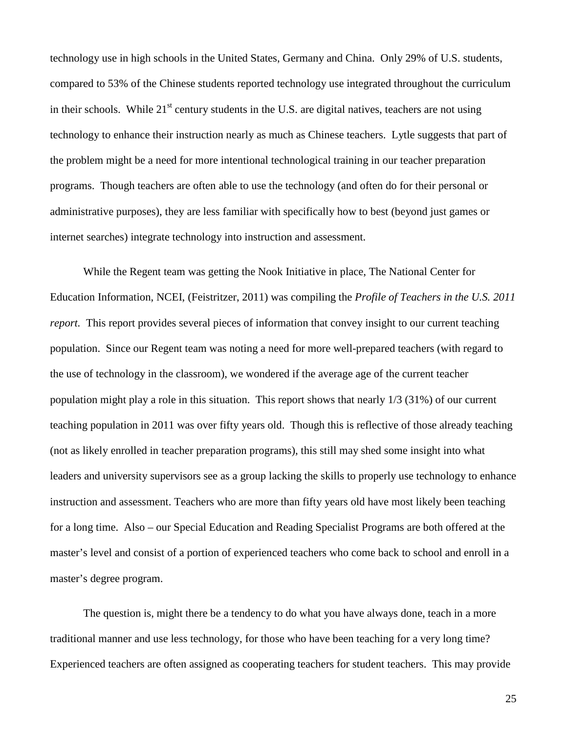technology use in high schools in the United States, Germany and China. Only 29% of U.S. students, compared to 53% of the Chinese students reported technology use integrated throughout the curriculum in their schools. While  $21<sup>st</sup>$  century students in the U.S. are digital natives, teachers are not using technology to enhance their instruction nearly as much as Chinese teachers. Lytle suggests that part of the problem might be a need for more intentional technological training in our teacher preparation programs. Though teachers are often able to use the technology (and often do for their personal or administrative purposes), they are less familiar with specifically how to best (beyond just games or internet searches) integrate technology into instruction and assessment.

While the Regent team was getting the Nook Initiative in place, The National Center for Education Information, NCEI, (Feistritzer, 2011) was compiling the *Profile of Teachers in the U.S. 2011 report.* This report provides several pieces of information that convey insight to our current teaching population. Since our Regent team was noting a need for more well-prepared teachers (with regard to the use of technology in the classroom), we wondered if the average age of the current teacher population might play a role in this situation. This report shows that nearly 1/3 (31%) of our current teaching population in 2011 was over fifty years old. Though this is reflective of those already teaching (not as likely enrolled in teacher preparation programs), this still may shed some insight into what leaders and university supervisors see as a group lacking the skills to properly use technology to enhance instruction and assessment. Teachers who are more than fifty years old have most likely been teaching for a long time. Also – our Special Education and Reading Specialist Programs are both offered at the master's level and consist of a portion of experienced teachers who come back to school and enroll in a master's degree program.

The question is, might there be a tendency to do what you have always done, teach in a more traditional manner and use less technology, for those who have been teaching for a very long time? Experienced teachers are often assigned as cooperating teachers for student teachers. This may provide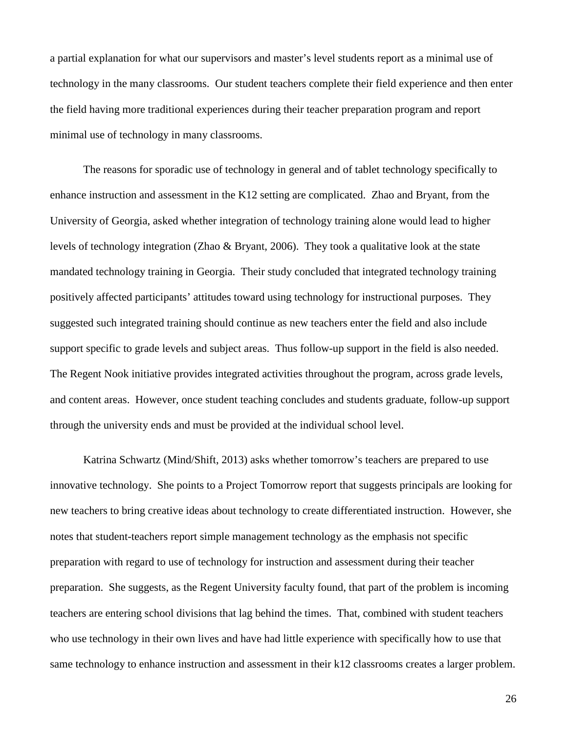a partial explanation for what our supervisors and master's level students report as a minimal use of technology in the many classrooms. Our student teachers complete their field experience and then enter the field having more traditional experiences during their teacher preparation program and report minimal use of technology in many classrooms.

The reasons for sporadic use of technology in general and of tablet technology specifically to enhance instruction and assessment in the K12 setting are complicated. Zhao and Bryant, from the University of Georgia, asked whether integration of technology training alone would lead to higher levels of technology integration (Zhao & Bryant, 2006). They took a qualitative look at the state mandated technology training in Georgia. Their study concluded that integrated technology training positively affected participants' attitudes toward using technology for instructional purposes. They suggested such integrated training should continue as new teachers enter the field and also include support specific to grade levels and subject areas. Thus follow-up support in the field is also needed. The Regent Nook initiative provides integrated activities throughout the program, across grade levels, and content areas. However, once student teaching concludes and students graduate, follow-up support through the university ends and must be provided at the individual school level.

Katrina Schwartz (Mind/Shift, 2013) asks whether tomorrow's teachers are prepared to use innovative technology. She points to a Project Tomorrow report that suggests principals are looking for new teachers to bring creative ideas about technology to create differentiated instruction. However, she notes that student-teachers report simple management technology as the emphasis not specific preparation with regard to use of technology for instruction and assessment during their teacher preparation. She suggests, as the Regent University faculty found, that part of the problem is incoming teachers are entering school divisions that lag behind the times. That, combined with student teachers who use technology in their own lives and have had little experience with specifically how to use that same technology to enhance instruction and assessment in their k12 classrooms creates a larger problem.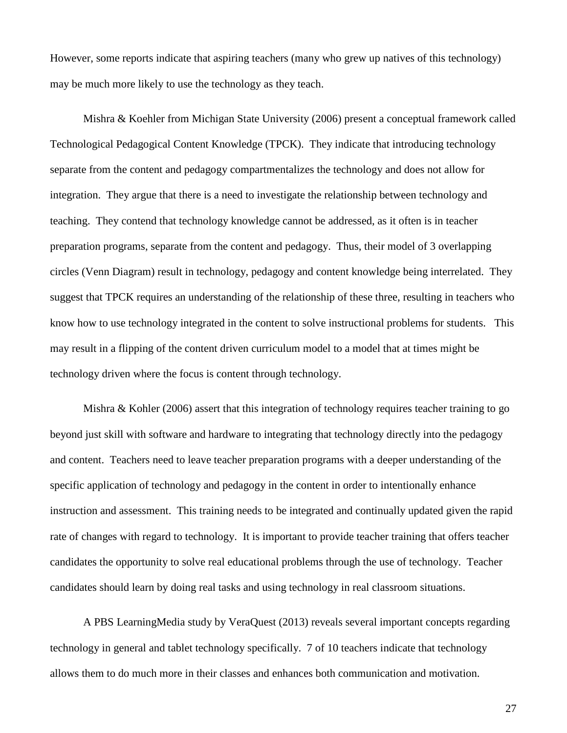However, some reports indicate that aspiring teachers (many who grew up natives of this technology) may be much more likely to use the technology as they teach.

Mishra & Koehler from Michigan State University (2006) present a conceptual framework called Technological Pedagogical Content Knowledge (TPCK). They indicate that introducing technology separate from the content and pedagogy compartmentalizes the technology and does not allow for integration. They argue that there is a need to investigate the relationship between technology and teaching. They contend that technology knowledge cannot be addressed, as it often is in teacher preparation programs, separate from the content and pedagogy. Thus, their model of 3 overlapping circles (Venn Diagram) result in technology, pedagogy and content knowledge being interrelated. They suggest that TPCK requires an understanding of the relationship of these three, resulting in teachers who know how to use technology integrated in the content to solve instructional problems for students. This may result in a flipping of the content driven curriculum model to a model that at times might be technology driven where the focus is content through technology.

Mishra & Kohler (2006) assert that this integration of technology requires teacher training to go beyond just skill with software and hardware to integrating that technology directly into the pedagogy and content. Teachers need to leave teacher preparation programs with a deeper understanding of the specific application of technology and pedagogy in the content in order to intentionally enhance instruction and assessment. This training needs to be integrated and continually updated given the rapid rate of changes with regard to technology. It is important to provide teacher training that offers teacher candidates the opportunity to solve real educational problems through the use of technology. Teacher candidates should learn by doing real tasks and using technology in real classroom situations.

A PBS LearningMedia study by VeraQuest (2013) reveals several important concepts regarding technology in general and tablet technology specifically. 7 of 10 teachers indicate that technology allows them to do much more in their classes and enhances both communication and motivation.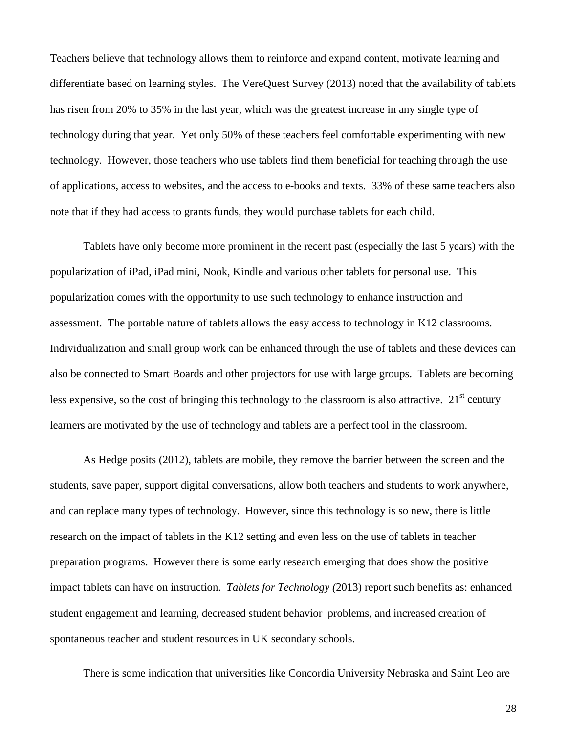Teachers believe that technology allows them to reinforce and expand content, motivate learning and differentiate based on learning styles. The VereQuest Survey (2013) noted that the availability of tablets has risen from 20% to 35% in the last year, which was the greatest increase in any single type of technology during that year. Yet only 50% of these teachers feel comfortable experimenting with new technology. However, those teachers who use tablets find them beneficial for teaching through the use of applications, access to websites, and the access to e-books and texts. 33% of these same teachers also note that if they had access to grants funds, they would purchase tablets for each child.

Tablets have only become more prominent in the recent past (especially the last 5 years) with the popularization of iPad, iPad mini, Nook, Kindle and various other tablets for personal use. This popularization comes with the opportunity to use such technology to enhance instruction and assessment. The portable nature of tablets allows the easy access to technology in K12 classrooms. Individualization and small group work can be enhanced through the use of tablets and these devices can also be connected to Smart Boards and other projectors for use with large groups. Tablets are becoming less expensive, so the cost of bringing this technology to the classroom is also attractive.  $21<sup>st</sup>$  century learners are motivated by the use of technology and tablets are a perfect tool in the classroom.

As Hedge posits (2012), tablets are mobile, they remove the barrier between the screen and the students, save paper, support digital conversations, allow both teachers and students to work anywhere, and can replace many types of technology. However, since this technology is so new, there is little research on the impact of tablets in the K12 setting and even less on the use of tablets in teacher preparation programs. However there is some early research emerging that does show the positive impact tablets can have on instruction. *Tablets for Technology (*2013) report such benefits as: enhanced student engagement and learning, decreased student behavior problems, and increased creation of spontaneous teacher and student resources in UK secondary schools.

There is some indication that universities like Concordia University Nebraska and Saint Leo are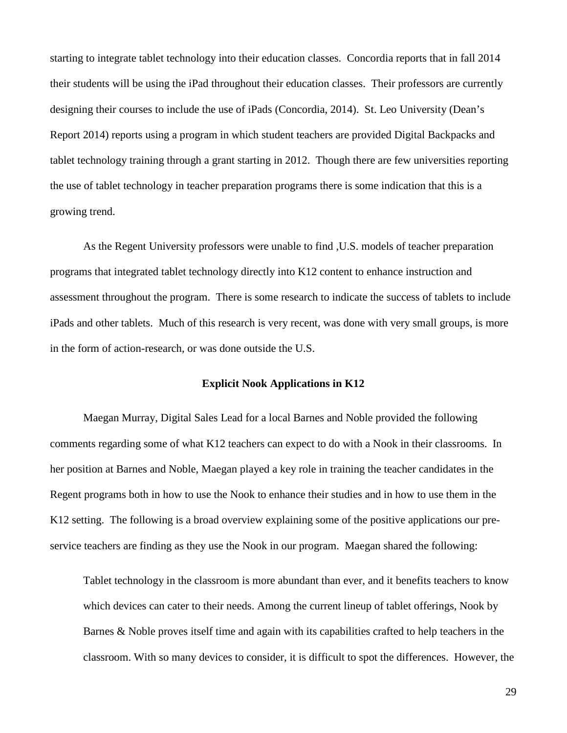starting to integrate tablet technology into their education classes. Concordia reports that in fall 2014 their students will be using the iPad throughout their education classes. Their professors are currently designing their courses to include the use of iPads (Concordia, 2014). St. Leo University (Dean's Report 2014) reports using a program in which student teachers are provided Digital Backpacks and tablet technology training through a grant starting in 2012. Though there are few universities reporting the use of tablet technology in teacher preparation programs there is some indication that this is a growing trend.

As the Regent University professors were unable to find ,U.S. models of teacher preparation programs that integrated tablet technology directly into K12 content to enhance instruction and assessment throughout the program. There is some research to indicate the success of tablets to include iPads and other tablets. Much of this research is very recent, was done with very small groups, is more in the form of action-research, or was done outside the U.S.

## **Explicit Nook Applications in K12**

Maegan Murray, Digital Sales Lead for a local Barnes and Noble provided the following comments regarding some of what K12 teachers can expect to do with a Nook in their classrooms. In her position at Barnes and Noble, Maegan played a key role in training the teacher candidates in the Regent programs both in how to use the Nook to enhance their studies and in how to use them in the K12 setting. The following is a broad overview explaining some of the positive applications our preservice teachers are finding as they use the Nook in our program. Maegan shared the following:

Tablet technology in the classroom is more abundant than ever, and it benefits teachers to know which devices can cater to their needs. Among the current lineup of tablet offerings, Nook by Barnes & Noble proves itself time and again with its capabilities crafted to help teachers in the classroom. With so many devices to consider, it is difficult to spot the differences. However, the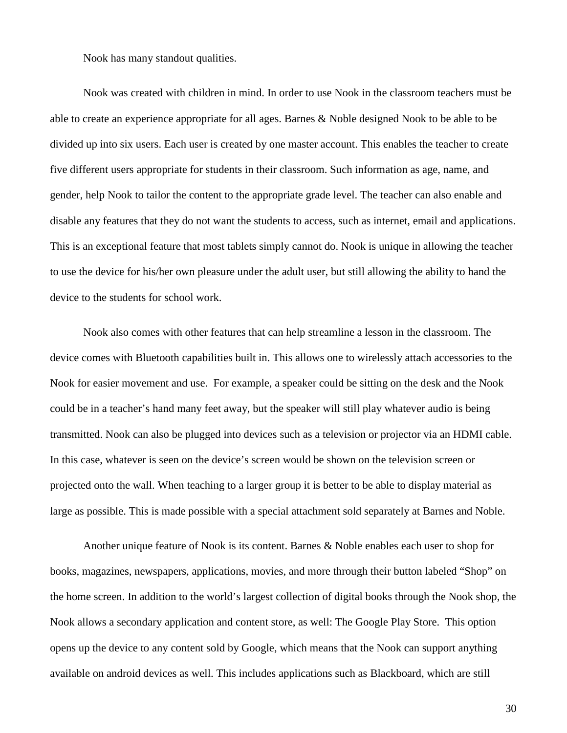Nook has many standout qualities.

Nook was created with children in mind. In order to use Nook in the classroom teachers must be able to create an experience appropriate for all ages. Barnes & Noble designed Nook to be able to be divided up into six users. Each user is created by one master account. This enables the teacher to create five different users appropriate for students in their classroom. Such information as age, name, and gender, help Nook to tailor the content to the appropriate grade level. The teacher can also enable and disable any features that they do not want the students to access, such as internet, email and applications. This is an exceptional feature that most tablets simply cannot do. Nook is unique in allowing the teacher to use the device for his/her own pleasure under the adult user, but still allowing the ability to hand the device to the students for school work.

Nook also comes with other features that can help streamline a lesson in the classroom. The device comes with Bluetooth capabilities built in. This allows one to wirelessly attach accessories to the Nook for easier movement and use. For example, a speaker could be sitting on the desk and the Nook could be in a teacher's hand many feet away, but the speaker will still play whatever audio is being transmitted. Nook can also be plugged into devices such as a television or projector via an HDMI cable. In this case, whatever is seen on the device's screen would be shown on the television screen or projected onto the wall. When teaching to a larger group it is better to be able to display material as large as possible. This is made possible with a special attachment sold separately at Barnes and Noble.

Another unique feature of Nook is its content. Barnes & Noble enables each user to shop for books, magazines, newspapers, applications, movies, and more through their button labeled "Shop" on the home screen. In addition to the world's largest collection of digital books through the Nook shop, the Nook allows a secondary application and content store, as well: The Google Play Store. This option opens up the device to any content sold by Google, which means that the Nook can support anything available on android devices as well. This includes applications such as Blackboard, which are still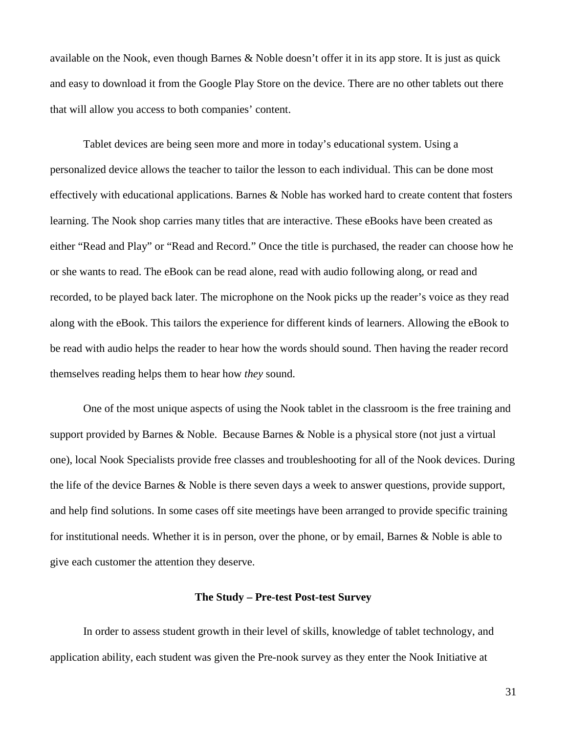available on the Nook, even though Barnes & Noble doesn't offer it in its app store. It is just as quick and easy to download it from the Google Play Store on the device. There are no other tablets out there that will allow you access to both companies' content.

Tablet devices are being seen more and more in today's educational system. Using a personalized device allows the teacher to tailor the lesson to each individual. This can be done most effectively with educational applications. Barnes & Noble has worked hard to create content that fosters learning. The Nook shop carries many titles that are interactive. These eBooks have been created as either "Read and Play" or "Read and Record." Once the title is purchased, the reader can choose how he or she wants to read. The eBook can be read alone, read with audio following along, or read and recorded, to be played back later. The microphone on the Nook picks up the reader's voice as they read along with the eBook. This tailors the experience for different kinds of learners. Allowing the eBook to be read with audio helps the reader to hear how the words should sound. Then having the reader record themselves reading helps them to hear how *they* sound.

One of the most unique aspects of using the Nook tablet in the classroom is the free training and support provided by Barnes & Noble. Because Barnes & Noble is a physical store (not just a virtual one), local Nook Specialists provide free classes and troubleshooting for all of the Nook devices. During the life of the device Barnes & Noble is there seven days a week to answer questions, provide support, and help find solutions. In some cases off site meetings have been arranged to provide specific training for institutional needs. Whether it is in person, over the phone, or by email, Barnes & Noble is able to give each customer the attention they deserve.

# **The Study – Pre-test Post-test Survey**

In order to assess student growth in their level of skills, knowledge of tablet technology, and application ability, each student was given the Pre-nook survey as they enter the Nook Initiative at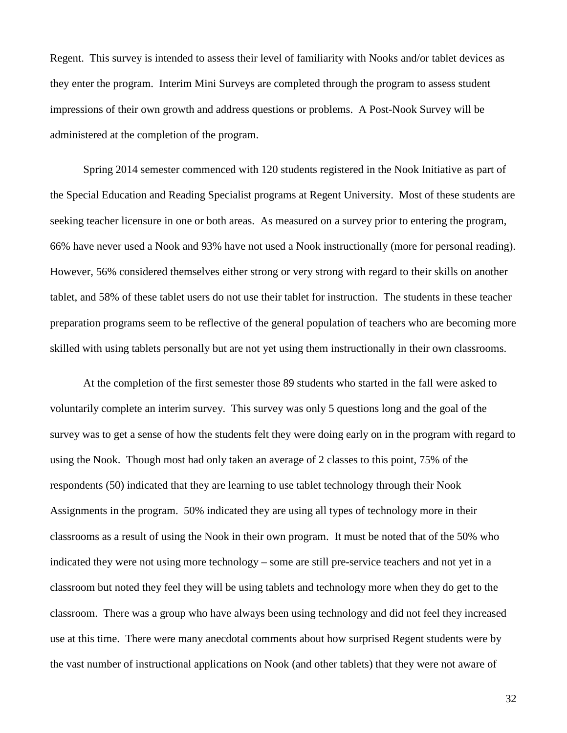Regent. This survey is intended to assess their level of familiarity with Nooks and/or tablet devices as they enter the program. Interim Mini Surveys are completed through the program to assess student impressions of their own growth and address questions or problems. A Post-Nook Survey will be administered at the completion of the program.

Spring 2014 semester commenced with 120 students registered in the Nook Initiative as part of the Special Education and Reading Specialist programs at Regent University. Most of these students are seeking teacher licensure in one or both areas. As measured on a survey prior to entering the program, 66% have never used a Nook and 93% have not used a Nook instructionally (more for personal reading). However, 56% considered themselves either strong or very strong with regard to their skills on another tablet, and 58% of these tablet users do not use their tablet for instruction. The students in these teacher preparation programs seem to be reflective of the general population of teachers who are becoming more skilled with using tablets personally but are not yet using them instructionally in their own classrooms.

At the completion of the first semester those 89 students who started in the fall were asked to voluntarily complete an interim survey. This survey was only 5 questions long and the goal of the survey was to get a sense of how the students felt they were doing early on in the program with regard to using the Nook. Though most had only taken an average of 2 classes to this point, 75% of the respondents (50) indicated that they are learning to use tablet technology through their Nook Assignments in the program. 50% indicated they are using all types of technology more in their classrooms as a result of using the Nook in their own program. It must be noted that of the 50% who indicated they were not using more technology – some are still pre-service teachers and not yet in a classroom but noted they feel they will be using tablets and technology more when they do get to the classroom. There was a group who have always been using technology and did not feel they increased use at this time. There were many anecdotal comments about how surprised Regent students were by the vast number of instructional applications on Nook (and other tablets) that they were not aware of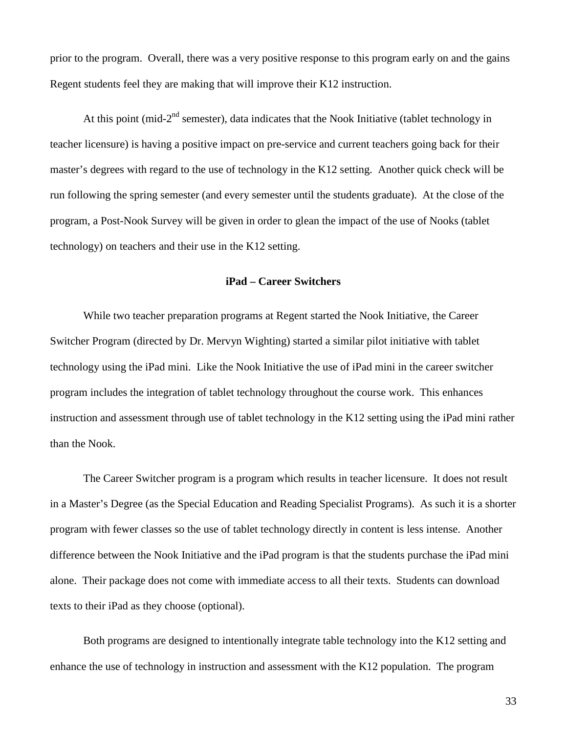prior to the program. Overall, there was a very positive response to this program early on and the gains Regent students feel they are making that will improve their K12 instruction.

At this point (mid- $2<sup>nd</sup>$  semester), data indicates that the Nook Initiative (tablet technology in teacher licensure) is having a positive impact on pre-service and current teachers going back for their master's degrees with regard to the use of technology in the K12 setting. Another quick check will be run following the spring semester (and every semester until the students graduate). At the close of the program, a Post-Nook Survey will be given in order to glean the impact of the use of Nooks (tablet technology) on teachers and their use in the K12 setting.

### **iPad – Career Switchers**

While two teacher preparation programs at Regent started the Nook Initiative, the Career Switcher Program (directed by Dr. Mervyn Wighting) started a similar pilot initiative with tablet technology using the iPad mini. Like the Nook Initiative the use of iPad mini in the career switcher program includes the integration of tablet technology throughout the course work. This enhances instruction and assessment through use of tablet technology in the K12 setting using the iPad mini rather than the Nook.

The Career Switcher program is a program which results in teacher licensure. It does not result in a Master's Degree (as the Special Education and Reading Specialist Programs). As such it is a shorter program with fewer classes so the use of tablet technology directly in content is less intense. Another difference between the Nook Initiative and the iPad program is that the students purchase the iPad mini alone. Their package does not come with immediate access to all their texts. Students can download texts to their iPad as they choose (optional).

Both programs are designed to intentionally integrate table technology into the K12 setting and enhance the use of technology in instruction and assessment with the K12 population. The program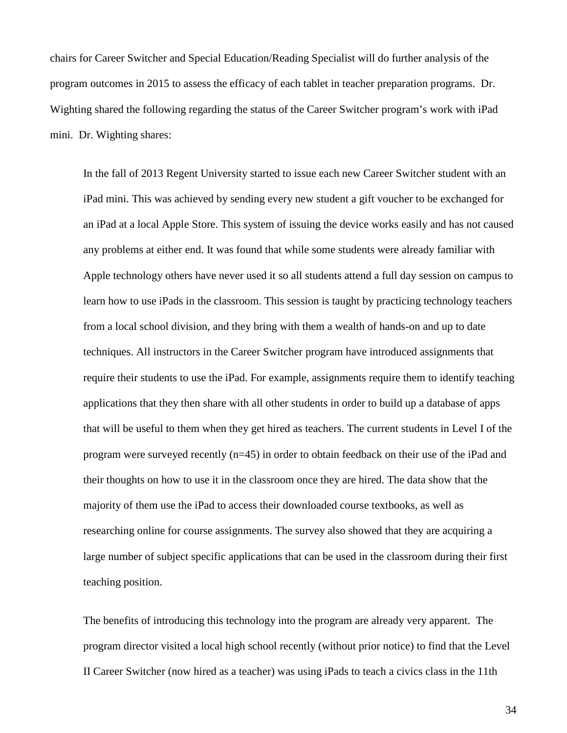chairs for Career Switcher and Special Education/Reading Specialist will do further analysis of the program outcomes in 2015 to assess the efficacy of each tablet in teacher preparation programs. Dr. Wighting shared the following regarding the status of the Career Switcher program's work with iPad mini. Dr. Wighting shares:

In the fall of 2013 Regent University started to issue each new Career Switcher student with an iPad mini. This was achieved by sending every new student a gift voucher to be exchanged for an iPad at a local Apple Store. This system of issuing the device works easily and has not caused any problems at either end. It was found that while some students were already familiar with Apple technology others have never used it so all students attend a full day session on campus to learn how to use iPads in the classroom. This session is taught by practicing technology teachers from a local school division, and they bring with them a wealth of hands-on and up to date techniques. All instructors in the Career Switcher program have introduced assignments that require their students to use the iPad. For example, assignments require them to identify teaching applications that they then share with all other students in order to build up a database of apps that will be useful to them when they get hired as teachers. The current students in Level I of the program were surveyed recently (n=45) in order to obtain feedback on their use of the iPad and their thoughts on how to use it in the classroom once they are hired. The data show that the majority of them use the iPad to access their downloaded course textbooks, as well as researching online for course assignments. The survey also showed that they are acquiring a large number of subject specific applications that can be used in the classroom during their first teaching position.

The benefits of introducing this technology into the program are already very apparent. The program director visited a local high school recently (without prior notice) to find that the Level II Career Switcher (now hired as a teacher) was using iPads to teach a civics class in the 11th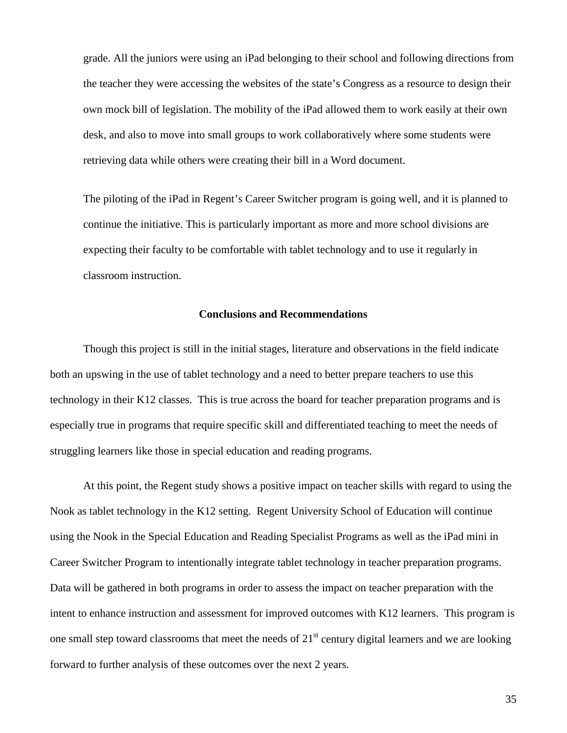grade. All the juniors were using an iPad belonging to their school and following directions from the teacher they were accessing the websites of the state's Congress as a resource to design their own mock bill of legislation. The mobility of the iPad allowed them to work easily at their own desk, and also to move into small groups to work collaboratively where some students were retrieving data while others were creating their bill in a Word document.

The piloting of the iPad in Regent's Career Switcher program is going well, and it is planned to continue the initiative. This is particularly important as more and more school divisions are expecting their faculty to be comfortable with tablet technology and to use it regularly in classroom instruction.

#### **Conclusions and Recommendations**

Though this project is still in the initial stages, literature and observations in the field indicate both an upswing in the use of tablet technology and a need to better prepare teachers to use this technology in their K12 classes. This is true across the board for teacher preparation programs and is especially true in programs that require specific skill and differentiated teaching to meet the needs of struggling learners like those in special education and reading programs.

At this point, the Regent study shows a positive impact on teacher skills with regard to using the Nook as tablet technology in the K12 setting. Regent University School of Education will continue using the Nook in the Special Education and Reading Specialist Programs as well as the iPad mini in Career Switcher Program to intentionally integrate tablet technology in teacher preparation programs. Data will be gathered in both programs in order to assess the impact on teacher preparation with the intent to enhance instruction and assessment for improved outcomes with K12 learners. This program is one small step toward classrooms that meet the needs of  $21<sup>st</sup>$  century digital learners and we are looking forward to further analysis of these outcomes over the next 2 years.